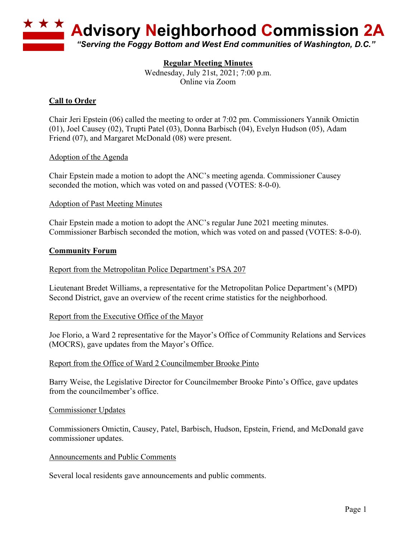

## **Regular Meeting Minutes**

Wednesday, July 21st, 2021; 7:00 p.m. Online via Zoom

# **Call to Order**

Chair Jeri Epstein (06) called the meeting to order at 7:02 pm. Commissioners Yannik Omictin (01), Joel Causey (02), Trupti Patel (03), Donna Barbisch (04), Evelyn Hudson (05), Adam Friend (07), and Margaret McDonald (08) were present.

## Adoption of the Agenda

Chair Epstein made a motion to adopt the ANC's meeting agenda. Commissioner Causey seconded the motion, which was voted on and passed (VOTES: 8-0-0).

## Adoption of Past Meeting Minutes

Chair Epstein made a motion to adopt the ANC's regular June 2021 meeting minutes. Commissioner Barbisch seconded the motion, which was voted on and passed (VOTES: 8-0-0).

## **Community Forum**

## Report from the Metropolitan Police Department's PSA 207

Lieutenant Bredet Williams, a representative for the Metropolitan Police Department's (MPD) Second District, gave an overview of the recent crime statistics for the neighborhood.

## Report from the Executive Office of the Mayor

Joe Florio, a Ward 2 representative for the Mayor's Office of Community Relations and Services (MOCRS), gave updates from the Mayor's Office.

## Report from the Office of Ward 2 Councilmember Brooke Pinto

Barry Weise, the Legislative Director for Councilmember Brooke Pinto's Office, gave updates from the councilmember's office.

#### Commissioner Updates

Commissioners Omictin, Causey, Patel, Barbisch, Hudson, Epstein, Friend, and McDonald gave commissioner updates.

#### Announcements and Public Comments

Several local residents gave announcements and public comments.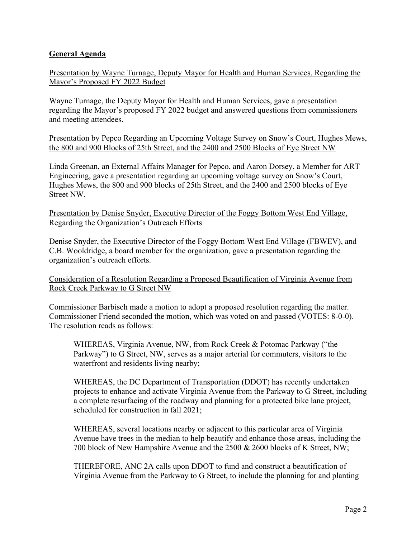# **General Agenda**

Presentation by Wayne Turnage, Deputy Mayor for Health and Human Services, Regarding the Mayor's Proposed FY 2022 Budget

Wayne Turnage, the Deputy Mayor for Health and Human Services, gave a presentation regarding the Mayor's proposed FY 2022 budget and answered questions from commissioners and meeting attendees.

Presentation by Pepco Regarding an Upcoming Voltage Survey on Snow's Court, Hughes Mews, the 800 and 900 Blocks of 25th Street, and the 2400 and 2500 Blocks of Eye Street NW

Linda Greenan, an External Affairs Manager for Pepco, and Aaron Dorsey, a Member for ART Engineering, gave a presentation regarding an upcoming voltage survey on Snow's Court, Hughes Mews, the 800 and 900 blocks of 25th Street, and the 2400 and 2500 blocks of Eye Street NW.

Presentation by Denise Snyder, Executive Director of the Foggy Bottom West End Village, Regarding the Organization's Outreach Efforts

Denise Snyder, the Executive Director of the Foggy Bottom West End Village (FBWEV), and C.B. Wooldridge, a board member for the organization, gave a presentation regarding the organization's outreach efforts.

Consideration of a Resolution Regarding a Proposed Beautification of Virginia Avenue from Rock Creek Parkway to G Street NW

Commissioner Barbisch made a motion to adopt a proposed resolution regarding the matter. Commissioner Friend seconded the motion, which was voted on and passed (VOTES: 8-0-0). The resolution reads as follows:

WHEREAS, Virginia Avenue, NW, from Rock Creek & Potomac Parkway ("the Parkway") to G Street, NW, serves as a major arterial for commuters, visitors to the waterfront and residents living nearby;

WHEREAS, the DC Department of Transportation (DDOT) has recently undertaken projects to enhance and activate Virginia Avenue from the Parkway to G Street, including a complete resurfacing of the roadway and planning for a protected bike lane project, scheduled for construction in fall 2021;

WHEREAS, several locations nearby or adjacent to this particular area of Virginia Avenue have trees in the median to help beautify and enhance those areas, including the 700 block of New Hampshire Avenue and the 2500 & 2600 blocks of K Street, NW;

THEREFORE, ANC 2A calls upon DDOT to fund and construct a beautification of Virginia Avenue from the Parkway to G Street, to include the planning for and planting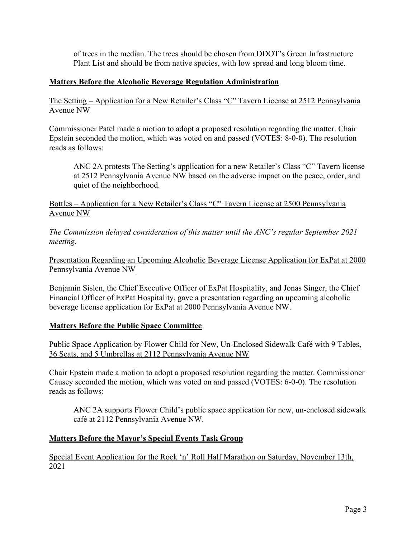of trees in the median. The trees should be chosen from DDOT's Green Infrastructure Plant List and should be from native species, with low spread and long bloom time.

# **Matters Before the Alcoholic Beverage Regulation Administration**

The Setting – Application for a New Retailer's Class "C" Tavern License at 2512 Pennsylvania Avenue NW

Commissioner Patel made a motion to adopt a proposed resolution regarding the matter. Chair Epstein seconded the motion, which was voted on and passed (VOTES: 8-0-0). The resolution reads as follows:

ANC 2A protests The Setting's application for a new Retailer's Class "C" Tavern license at 2512 Pennsylvania Avenue NW based on the adverse impact on the peace, order, and quiet of the neighborhood.

Bottles – Application for a New Retailer's Class "C" Tavern License at 2500 Pennsylvania Avenue NW

*The Commission delayed consideration of this matter until the ANC's regular September 2021 meeting.*

Presentation Regarding an Upcoming Alcoholic Beverage License Application for ExPat at 2000 Pennsylvania Avenue NW

Benjamin Sislen, the Chief Executive Officer of ExPat Hospitality, and Jonas Singer, the Chief Financial Officer of ExPat Hospitality, gave a presentation regarding an upcoming alcoholic beverage license application for ExPat at 2000 Pennsylvania Avenue NW.

## **Matters Before the Public Space Committee**

Public Space Application by Flower Child for New, Un-Enclosed Sidewalk Café with 9 Tables, 36 Seats, and 5 Umbrellas at 2112 Pennsylvania Avenue NW

Chair Epstein made a motion to adopt a proposed resolution regarding the matter. Commissioner Causey seconded the motion, which was voted on and passed (VOTES: 6-0-0). The resolution reads as follows:

ANC 2A supports Flower Child's public space application for new, un-enclosed sidewalk café at 2112 Pennsylvania Avenue NW.

## **Matters Before the Mayor's Special Events Task Group**

Special Event Application for the Rock 'n' Roll Half Marathon on Saturday, November 13th, 2021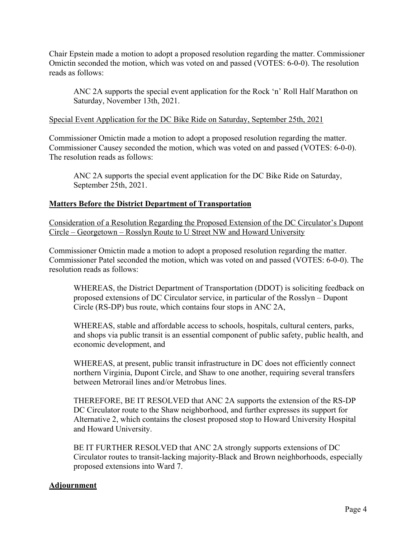Chair Epstein made a motion to adopt a proposed resolution regarding the matter. Commissioner Omictin seconded the motion, which was voted on and passed (VOTES: 6-0-0). The resolution reads as follows:

ANC 2A supports the special event application for the Rock 'n' Roll Half Marathon on Saturday, November 13th, 2021.

## Special Event Application for the DC Bike Ride on Saturday, September 25th, 2021

Commissioner Omictin made a motion to adopt a proposed resolution regarding the matter. Commissioner Causey seconded the motion, which was voted on and passed (VOTES: 6-0-0). The resolution reads as follows:

ANC 2A supports the special event application for the DC Bike Ride on Saturday, September 25th, 2021.

## **Matters Before the District Department of Transportation**

Consideration of a Resolution Regarding the Proposed Extension of the DC Circulator's Dupont Circle – Georgetown – Rosslyn Route to U Street NW and Howard University

Commissioner Omictin made a motion to adopt a proposed resolution regarding the matter. Commissioner Patel seconded the motion, which was voted on and passed (VOTES: 6-0-0). The resolution reads as follows:

WHEREAS, the District Department of Transportation (DDOT) is soliciting feedback on proposed extensions of DC Circulator service, in particular of the Rosslyn – Dupont Circle (RS-DP) bus route, which contains four stops in ANC 2A,

WHEREAS, stable and affordable access to schools, hospitals, cultural centers, parks, and shops via public transit is an essential component of public safety, public health, and economic development, and

WHEREAS, at present, public transit infrastructure in DC does not efficiently connect northern Virginia, Dupont Circle, and Shaw to one another, requiring several transfers between Metrorail lines and/or Metrobus lines.

THEREFORE, BE IT RESOLVED that ANC 2A supports the extension of the RS-DP DC Circulator route to the Shaw neighborhood, and further expresses its support for Alternative 2, which contains the closest proposed stop to Howard University Hospital and Howard University.

BE IT FURTHER RESOLVED that ANC 2A strongly supports extensions of DC Circulator routes to transit-lacking majority-Black and Brown neighborhoods, especially proposed extensions into Ward 7.

## **Adjournment**